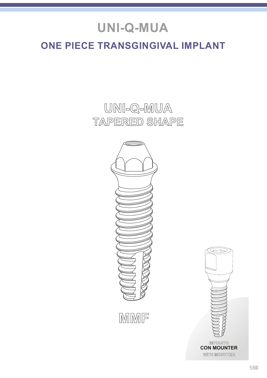# **UNI-Q-MUA**

### **ONE PIECE TRANSGINGIVAL IMPLANT**

**UNI-Q-MUA TAPERED SHAPE**



**MMF**



**WITH MOUNTER CON MOUNTER**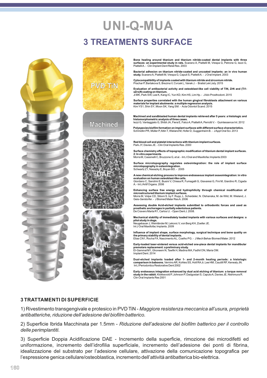### **UNI-Q-MUA 3 TREATMENTS SURFACE**







**Bone healing around titanium and titanium nitride-coated dental implants with three surfaces: an experimental study in rats.** Scarano A, Piattelli M, Vrespa G, Petrone G, Iezzi G, Piattelli A. - Clin Implant Dent Relat Res. 2003

**Bacterial adhesion on titanium nitride-coated and uncoated implants: an in vivo human study.** Scarano A, Piattelli M, Vrespa G, Caputi S, Piattelli A. - J Oral Implant. 2003

**Cytocompatibility of implants coated with titanium nitride and zirconium nitride.** Prachar P, Bartakova S, Brezina V, Cvrcek L, Vanek J. - Bratisl Lek Listy. 2015

**Evaluation of antibacterial activity and osteoblast-like cell viability of TiN, ZrN and (Ti1 xZrx)N coating on titanium.** Ji MK, Park SW, Lee K, Kang IC, Yun KD, Kim HS, Lim Hp. - J Adv Prosthodont. 2015

**Surface properties correlated with the human gingival fibroblasts attachment on various materials for implant abutments: a multiple regression analysis.** Kim YS1, Shin SY, Moon SK, Yang SM. - Acta Odontol Scand. 2015

**Machined and sandblasted human dental implants retrieved after 5 years: a histologic and histomorphometric analysis of three cases.**<br>Iezzi G, Vantaggiato G, Shibli JA, Fiera E, Falco A, Piattelli A, Perrotti V. - Quintessence Int. 2012

**Polyspecies biofilm formation on implant surfaces with different surface characteristics.** Schmidlin PR, Müller P, Attin T, Wieland M, Hofer D, Guggenheim B. - J Appl Oral Sci. 2013

**Red blood cell and platelet interactions with titanium implant surfaces.** Park JY, Davies JE. - Clin Oral Implants Res. 2000

Surface chemistry effects of topographic modification of titanium dental implant surfa **2: In vitro experiments**. Morra M, Cassinelli C, Bruzzone G, et al. - Int J Oral and Maxillofac Implants 2003

**Surface microtopography regulates osteointegration: the role of implant surface microtopography in osteointegration.** Schwartz Z1, Nasazky E, Boyan BD. - 2005

**A new chemical etching process to improve endosseous implant osseointegration: in vitro evaluation on human osteoblast-like cells.** Giordano C, Sandrini E, Busini V, Chiesa R, Fumagalli G, Giavaresi G, Fini M, Giardino R, Cigada A. - Int J Artif Organs. 2006

**Enhancing surface free energy and hydrophilicity through chemical modification of microstructured titanium implant surfaces.**<br>Morra M, Volpe CD, Siboni S. by F. Rupp, L. Scheideler, N. Olshanska, M. de Wild, M. Wieland, J. Geis-Gerstorfer. - J Biomed Mater Res A. 2006

**Assessing double Acid-etched implants submitted to orthodontic forces and used as prosthetic anchorages in partially edentulous patients.** De Cravero Marta R1, Carlos IJ. - Open Dent J. 2008.

**Mechanical stability of immediately loaded implants with various surfaces and designs: a** 

**pilot study in dogs.**<br>Neugebauer J, Weinländer M, Lekovic V, von Berg KH, Zoeller JE.<br>Int J Oral Maxillofac Implants. 2009

**Influence of implant shape, surface morphology, surgical technique and bone quality on the primary stability of dental implants.**  Elias CN1, Rocha FA, Nascimento AL, Coelho PG. - J Mech Behav Biomed Mater. 2012

**Early-loaded laser-sintered versus acid-etched one-piece dental implants for mandibular premolars replacement: a preliminary study.** El-Gammal M1, Ghoneem N, Tawfik H, Madina MA, Fadhil ON, Maria OM. Implant Dent. 2014

**Dual-etched implants loaded after 1- and 2-month healing periods: a histologic comparison in baboons.** Vernino AR, Kohles SS, Holt RA Jr, Lee HM, Caudill RF, Kenealy JN. Int J Periodontics Restorative Dent 2002

Early endosseus integration enhanced by dual acid etching of titanium: a torque removal<br>study in the rabbit. Klokkevold P, Johnson P, Dadgostari S, Caputo A, Davies JE, Nishimura R.<br>Clin Oral Implants Res 2001

#### **3 TRATTAMENTI DI SUPERFICIE**

1) Rivestimento transgengivale e protesico in PVD TiN - *Maggiore resistenza meccanica all'usura, proprietà antibatteriche, riduzione dell'adesione del biofilm batterico.*

2) Superficie Ibrida Macchinata per 1.5mm - *Riduzione dell'adesione del biofilm batterico per il controllo delle perimplantiti.*

3) Superficie Doppia Acidificazione DAE - Incremento della superficie, rimozione dei microdifetti ed uniformazione, incremento dell'idrofilia superficiale, incremento dell'adesione dei ponti di fibrina, idealizzazione del substrato per l'adesione cellulare, attivazione della comunicazione topografica per l'espressione genica cellulare/osteoblastica, incremento dell'attività antibatterica bio-elettrica.